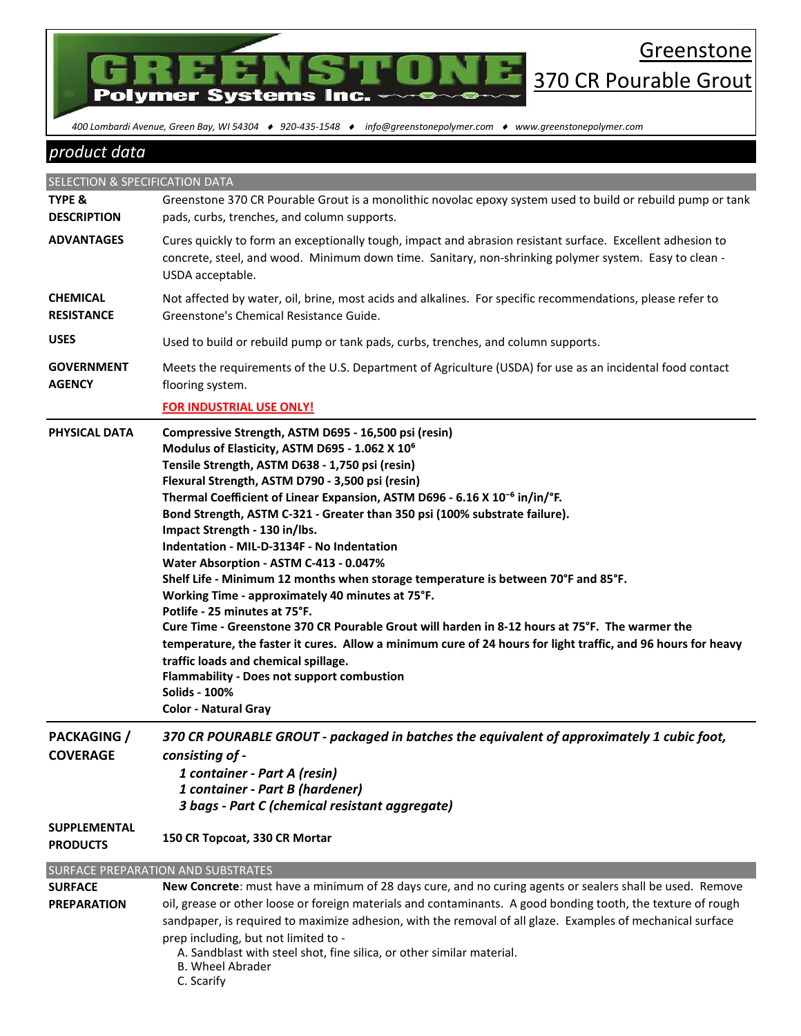

 *400 Lombardi Avenue, Green Bay, WI 54304 920-435-1548 info@greenstonepolymer.com www.greenstonepolymer.com* 

## *product data*

SELECTION & SPECIFICATION DATA **TYPE & DESCRIPTION** Greenstone 370 CR Pourable Grout is a monolithic novolac epoxy system used to build or rebuild pump or tank pads, curbs, trenches, and column supports. **ADVANTAGES** Cures quickly to form an exceptionally tough, impact and abrasion resistant surface. Excellent adhesion to concrete, steel, and wood. Minimum down time. Sanitary, non-shrinking polymer system. Easy to clean - USDA acceptable. **CHEMICAL RESISTANCE** Not affected by water, oil, brine, most acids and alkalines. For specific recommendations, please refer to Greenstone's Chemical Resistance Guide. **USES** Used to build or rebuild pump or tank pads, curbs, trenches, and column supports. **GOVERNMENT AGENCY**  Meets the requirements of the U.S. Department of Agriculture (USDA) for use as an incidental food contact flooring system. **FOR INDUSTRIAL USE ONLY! PHYSICAL DATA Compressive Strength, ASTM D695 - 16,500 psi (resin) Modulus of Elasticity, ASTM D695 - 1.062 X 10⁶ Tensile Strength, ASTM D638 - 1,750 psi (resin) Flexural Strength, ASTM D790 - 3,500 psi (resin)** Thermal Coefficient of Linear Expansion, ASTM D696 - 6.16 X 10<sup>-6</sup> in/in/°F. **Bond Strength, ASTM C-321 - Greater than 350 psi (100% substrate failure). Impact Strength - 130 in/lbs. Indentation - MIL-D-3134F - No Indentation Water Absorption - ASTM C-413 - 0.047% Shelf Life - Minimum 12 months when storage temperature is between 70°F and 85°F. Working Time - approximately 40 minutes at 75°F. Potlife - 25 minutes at 75°F. Cure Time - Greenstone 370 CR Pourable Grout will harden in 8-12 hours at 75°F. The warmer the temperature, the faster it cures. Allow a minimum cure of 24 hours for light traffic, and 96 hours for heavy traffic loads and chemical spillage. Flammability - Does not support combustion Solids - 100% Color - Natural Gray PACKAGING / COVERAGE** *370 CR POURABLE GROUT - packaged in batches the equivalent of approximately 1 cubic foot, consisting of - 1 container - Part A (resin) 1 container - Part B (hardener) 3 bags - Part C (chemical resistant aggregate)* **SUPPLEMENTAL PRODUCTS 150 CR Topcoat, 330 CR Mortar** SURFACE PREPARATION AND SUBSTRATES **SURFACE PREPARATION New Concrete**: must have a minimum of 28 days cure, and no curing agents or sealers shall be used. Remove oil, grease or other loose or foreign materials and contaminants. A good bonding tooth, the texture of rough sandpaper, is required to maximize adhesion, with the removal of all glaze. Examples of mechanical surface prep including, but not limited to -

A. Sandblast with steel shot, fine silica, or other similar material.

- B. Wheel Abrader
- C. Scarify